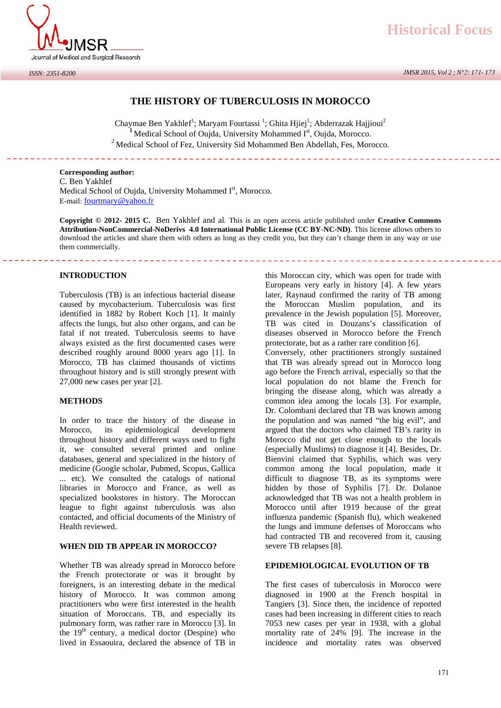

# **THE HISTORY OF TUBERCULOSIS IN MOROCCO**

Chaymae Ben Yakhlef<sup>1</sup>; Maryam Fourtassi <sup>1</sup>; Ghita Hjiej<sup>1</sup>; Abderrazak Hajjioui<sup>2</sup> <sup>1</sup> Medical School of Oujda, University Mohammed I<sup>st</sup>, Oujda, Morocco.  $3$  Medical School of Fez, University Sid Mohammed Ben Abdellah, Fes, Morocco.

the company of the company of

#### **Corresponding author:**

C. Ben Yakhlef Medical School of Oujda, University Mohammed Ist, Morocco. E-mail: fourtmary@yahoo.fr

**Copyright © 2012- 2015 C.** Ben Yakhlef and al. This is an open access article published under **Creative Commons Attribution-NonCommercial-NoDerivs 4.0 International Public License (CC BY-NC-ND)**. This license allows others to download the articles and share them with others as long as they credit you, but they can't change them in any way or use them commercially.

#### **INTRODUCTION**

Tuberculosis (TB) is an infectious bacterial disease caused by mycobacterium. Tuberculosis was first identified in 1882 by Robert Koch [1]. It mainly affects the lungs, but also other organs, and can be fatal if not treated. Tuberculosis seems to have always existed as the first documented cases were described roughly around 8000 years ago [1]. In Morocco, TB has claimed thousands of victims throughout history and is still strongly present with 27,000 new cases per year [2].

#### **METHODS**

In order to trace the history of the disease in Morocco, its epidemiological development throughout history and different ways used to fight it, we consulted several printed and online databases, general and specialized in the history of medicine (Google scholar, Pubmed, Scopus, Gallica ... etc). We consulted the catalogs of national libraries in Morocco and France, as well as specialized bookstores in history. The Moroccan league to fight against tuberculosis was also contacted, and official documents of the Ministry of Health reviewed.

#### **WHEN DID TB APPEAR IN MOROCCO?**

Whether TB was already spread in Morocco before the French protectorate or was it brought by foreigners, is an interesting debate in the medical history of Morocco. It was common among practitioners who were first interested in the health situation of Moroccans. TB, and especially its pulmonary form, was rather rare in Morocco [3]. In the  $19<sup>th</sup>$  century, a medical doctor (Despine) who lived in Essaouira, declared the absence of TB in

this Moroccan city, which was open for trade with Europeans very early in history [4]. A few years later, Raynaud confirmed the rarity of TB among the Moroccan Muslim population, and its prevalence in the Jewish population [5]. Moreover, TB was cited in Douzans's classification of diseases observed in Morocco before the French protectorate, but as a rather rare condition [6].

\_\_\_\_\_\_\_\_\_\_\_\_\_\_\_\_\_\_\_\_\_\_\_\_\_\_\_\_

Conversely, other practitioners strongly sustained that TB was already spread out in Morocco long ago before the French arrival, especially so that the local population do not blame the French for bringing the disease along, which was already a common idea among the locals [3]. For example, Dr. Colombani declared that TB was known among the population and was named "the big evil", and argued that the doctors who claimed TB's rarity in Morocco did not get close enough to the locals (especially Muslims) to diagnose it [4]. Besides, Dr. Bienvini claimed that Syphilis, which was very common among the local population, made it difficult to diagnose TB, as its symptoms were hidden by those of Syphilis [7]. Dr. Dolanoe acknowledged that TB was not a health problem in Morocco until after 1919 because of the great influenza pandemic (Spanish flu), which weakened the lungs and immune defenses of Moroccans who had contracted TB and recovered from it, causing severe TB relapses [8].

# **EPIDEMIOLOGICAL EVOLUTION OF TB**

The first cases of tuberculosis in Morocco were diagnosed in 1900 at the French hospital in Tangiers [3]. Since then, the incidence of reported cases had been increasing in different cities to reach 7053 new cases per year in 1938, with a global mortality rate of 24% [9]. The increase in the incidence and mortality rates was observed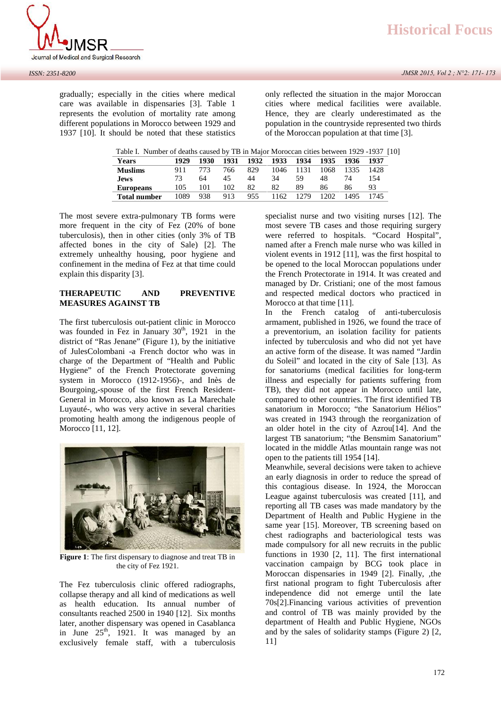*JMSR 2015, Vol 2 ; N°2: 171- 173*



gradually; especially in the cities where medical care was available in dispensaries [3]. Table 1 represents the evolution of mortality rate among different populations in Morocco between 1929 and 1937 [10]. It should be noted that these statistics

only reflected the situation in the major Moroccan cities where medical facilities were available. Hence, they are clearly underestimated as the population in the countryside represented two thirds of the Moroccan population at that time [3].

|  |  |  |  |  | Table I. Number of deaths caused by TB in Major Moroccan cities between 1929 -1937 [10] |  |
|--|--|--|--|--|-----------------------------------------------------------------------------------------|--|
|--|--|--|--|--|-----------------------------------------------------------------------------------------|--|

| 1929 | 1930 | 1931 | 1932 | 1933 | 1934 | 1935 | 1936 | 1937 |
|------|------|------|------|------|------|------|------|------|
| 911  | 773  | 766. | 829  | 1046 | 1131 | 1068 | 1335 | 1428 |
| 73   | 64   | 45   | 44   | 34   | 59   | 48   | 74   | 154  |
| 105  | 101  | 102  | 82   | 82   | 89   | 86   | 86   | 93   |
| 1089 | 938  | 913  | 955  | 1162 | 1279 | 202  | 1495 | 1745 |
|      |      |      |      |      |      |      |      |      |

The most severe extra-pulmonary TB forms were more frequent in the city of Fez (20% of bone tuberculosis), then in other cities (only 3% of TB affected bones in the city of Sale) [2]. The extremely unhealthy housing, poor hygiene and confinement in the medina of Fez at that time could explain this disparity [3].

## **THERAPEUTIC AND PREVENTIVE MEASURES AGAINST TB**

The first tuberculosis out-patient clinic in Morocco was founded in Fez in January  $30<sup>th</sup>$ , 1921 in the district of "Ras Jenane" (Figure 1), by the initiative of JulesColombani -a French doctor who was in charge of the Department of "Health and Public Hygiene" of the French Protectorate governing system in Morocco (1912-1956)-, and Inès de Bourgoing,-spouse of the first French Resident- General in Morocco, also known as La Marechale Luyauté-, who was very active in several charities promoting health among the indigenous people of Morocco [11, 12].



**Figure 1**: The first dispensary to diagnose and treat TB in the city of Fez 1921.

The Fez tuberculosis clinic offered radiographs, collapse therapy and all kind of medications as well as health education. Its annual number of consultants reached 2500 in 1940 [12]. Six months later, another dispensary was opened in Casablanca in June  $25<sup>th</sup>$ , 1921. It was managed by an exclusively female staff, with a tuberculosis

specialist nurse and two visiting nurses [12]. The most severe TB cases and those requiring surgery were referred to hospitals. "Cocard Hospital", named after a French male nurse who was killed in violent events in 1912 [11], was the first hospital to be opened to the local Moroccan populations under the French Protectorate in 1914. It was created and managed by Dr. Cristiani; one of the most famous and respected medical doctors who practiced in Morocco at that time [11].

In the French catalog of anti-tuberculosis armament, published in 1926, we found the trace of a preventorium, an isolation facility for patients infected by tuberculosis and who did not yet have an active form of the disease. It was named "Jardin du Soleil" and located in the city of Sale [13]*.* As for sanatoriums (medical facilities for long-term illness and especially for patients suffering from TB), they did not appear in Morocco until late, compared to other countries. The first identified TB sanatorium in Morocco; "the Sanatorium Hélios" was created in 1943 through the reorganization of an older hotel in the city of Azrou[14]. And the largest TB sanatorium; "the Bensmim Sanatorium" located in the middle Atlas mountain range was not open to the patients till 1954 [14].

Meanwhile, several decisions were taken to achieve an early diagnosis in order to reduce the spread of this contagious disease. In 1924, the Moroccan League against tuberculosis was created [11], and reporting all TB cases was made mandatory by the Department of Health and Public Hygiene in the same year [15]. Moreover, TB screening based on chest radiographs and bacteriological tests was made compulsory for all new recruits in the public functions in 1930 [2, 11]. The first international vaccination campaign by BCG took place in Moroccan dispensaries in 1949 [2]. Finally, ,the first national program to fight Tuberculosis after independence did not emerge until the late 70s[2].Financing various activities of prevention and control of TB was mainly provided by the department of Health and Public Hygiene, NGOs and by the sales of solidarity stamps (Figure 2) [2, 11]